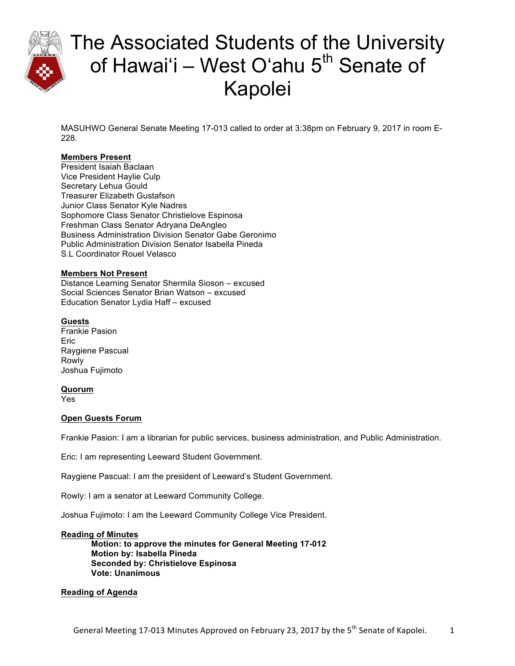

MASUHWO General Senate Meeting 17-013 called to order at 3:38pm on February 9, 2017 in room E-228.

## **Members Present**

President Isaiah Baclaan Vice President Haylie Culp Secretary Lehua Gould Treasurer Elizabeth Gustafson Junior Class Senator Kyle Nadres Sophomore Class Senator Christielove Espinosa Freshman Class Senator Adryana DeAngleo Business Administration Division Senator Gabe Geronimo Public Administration Division Senator Isabella Pineda S.L Coordinator Rouel Velasco

## **Members Not Present**

Distance Learning Senator Shermila Sioson – excused Social Sciences Senator Brian Watson – excused Education Senator Lydia Haff – excused

## **Guests**

Frankie Pasion Eric Raygiene Pascual Rowly Joshua Fujimoto

### **Quorum**

Yes

## **Open Guests Forum**

Frankie Pasion: I am a librarian for public services, business administration, and Public Administration.

Eric: I am representing Leeward Student Government.

Raygiene Pascual: I am the president of Leeward's Student Government.

Rowly: I am a senator at Leeward Community College.

Joshua Fujimoto: I am the Leeward Community College Vice President.

### **Reading of Minutes**

**Motion: to approve the minutes for General Meeting 17-012 Motion by: Isabella Pineda Seconded by: Christielove Espinosa Vote: Unanimous**

## **Reading of Agenda**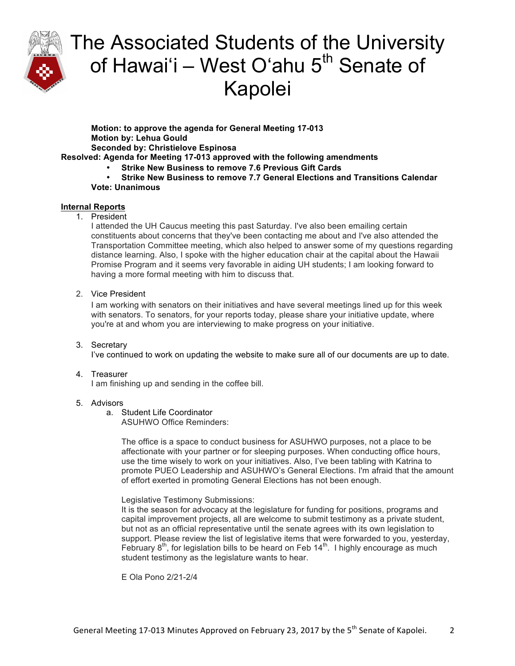

**Motion: to approve the agenda for General Meeting 17-013 Motion by: Lehua Gould Seconded by: Christielove Espinosa** 

**Resolved: Agenda for Meeting 17-013 approved with the following amendments** 

• **Strike New Business to remove 7.6 Previous Gift Cards** 

• **Strike New Business to remove 7.7 General Elections and Transitions Calendar Vote: Unanimous**

## **Internal Reports**

1. President

I attended the UH Caucus meeting this past Saturday. I've also been emailing certain constituents about concerns that they've been contacting me about and I've also attended the Transportation Committee meeting, which also helped to answer some of my questions regarding distance learning. Also, I spoke with the higher education chair at the capital about the Hawaii Promise Program and it seems very favorable in aiding UH students; I am looking forward to having a more formal meeting with him to discuss that.

## 2. Vice President

I am working with senators on their initiatives and have several meetings lined up for this week with senators. To senators, for your reports today, please share your initiative update, where you're at and whom you are interviewing to make progress on your initiative.

### 3. Secretary

I've continued to work on updating the website to make sure all of our documents are up to date.

### 4. Treasurer

I am finishing up and sending in the coffee bill.

### 5. Advisors

a. Student Life Coordinator

ASUHWO Office Reminders:

The office is a space to conduct business for ASUHWO purposes, not a place to be affectionate with your partner or for sleeping purposes. When conducting office hours, use the time wisely to work on your initiatives. Also, I've been tabling with Katrina to promote PUEO Leadership and ASUHWO's General Elections. I'm afraid that the amount of effort exerted in promoting General Elections has not been enough.

### Legislative Testimony Submissions:

It is the season for advocacy at the legislature for funding for positions, programs and capital improvement projects, all are welcome to submit testimony as a private student, but not as an official representative until the senate agrees with its own legislation to support. Please review the list of legislative items that were forwarded to you, yesterday, February  $8<sup>th</sup>$ , for legislation bills to be heard on Feb  $14<sup>th</sup>$ . I highly encourage as much student testimony as the legislature wants to hear.

E Ola Pono 2/21-2/4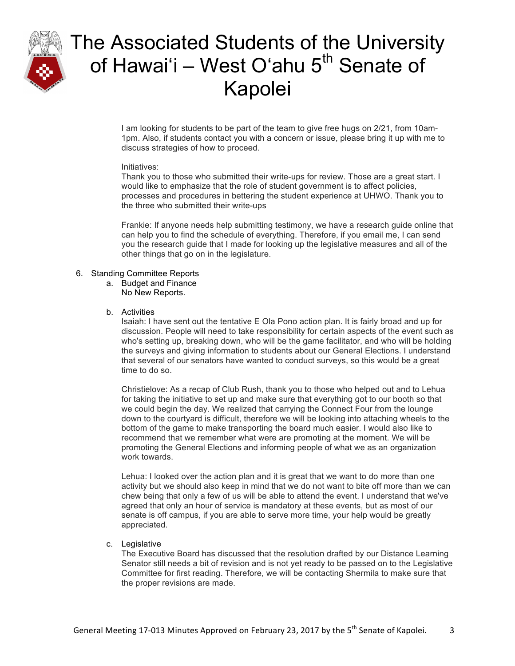

I am looking for students to be part of the team to give free hugs on 2/21, from 10am-1pm. Also, if students contact you with a concern or issue, please bring it up with me to discuss strategies of how to proceed.

## Initiatives:

Thank you to those who submitted their write-ups for review. Those are a great start. I would like to emphasize that the role of student government is to affect policies, processes and procedures in bettering the student experience at UHWO. Thank you to the three who submitted their write-ups

Frankie: If anyone needs help submitting testimony, we have a research guide online that can help you to find the schedule of everything. Therefore, if you email me, I can send you the research guide that I made for looking up the legislative measures and all of the other things that go on in the legislature.

## 6. Standing Committee Reports

- a. Budget and Finance No New Reports.
- b. Activities

Isaiah: I have sent out the tentative E Ola Pono action plan. It is fairly broad and up for discussion. People will need to take responsibility for certain aspects of the event such as who's setting up, breaking down, who will be the game facilitator, and who will be holding the surveys and giving information to students about our General Elections. I understand that several of our senators have wanted to conduct surveys, so this would be a great time to do so.

Christielove: As a recap of Club Rush, thank you to those who helped out and to Lehua for taking the initiative to set up and make sure that everything got to our booth so that we could begin the day. We realized that carrying the Connect Four from the lounge down to the courtyard is difficult, therefore we will be looking into attaching wheels to the bottom of the game to make transporting the board much easier. I would also like to recommend that we remember what were are promoting at the moment. We will be promoting the General Elections and informing people of what we as an organization work towards.

Lehua: I looked over the action plan and it is great that we want to do more than one activity but we should also keep in mind that we do not want to bite off more than we can chew being that only a few of us will be able to attend the event. I understand that we've agreed that only an hour of service is mandatory at these events, but as most of our senate is off campus, if you are able to serve more time, your help would be greatly appreciated.

c. Legislative

The Executive Board has discussed that the resolution drafted by our Distance Learning Senator still needs a bit of revision and is not yet ready to be passed on to the Legislative Committee for first reading. Therefore, we will be contacting Shermila to make sure that the proper revisions are made.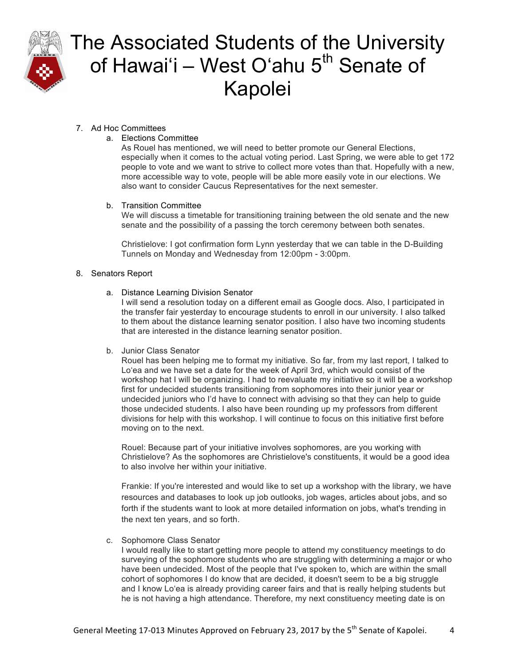

## 7. Ad Hoc Committees

a. Elections Committee

As Rouel has mentioned, we will need to better promote our General Elections, especially when it comes to the actual voting period. Last Spring, we were able to get 172 people to vote and we want to strive to collect more votes than that. Hopefully with a new, more accessible way to vote, people will be able more easily vote in our elections. We also want to consider Caucus Representatives for the next semester.

b. Transition Committee

We will discuss a timetable for transitioning training between the old senate and the new senate and the possibility of a passing the torch ceremony between both senates.

Christielove: I got confirmation form Lynn yesterday that we can table in the D-Building Tunnels on Monday and Wednesday from 12:00pm - 3:00pm.

## 8. Senators Report

a. Distance Learning Division Senator

I will send a resolution today on a different email as Google docs. Also, I participated in the transfer fair yesterday to encourage students to enroll in our university. I also talked to them about the distance learning senator position. I also have two incoming students that are interested in the distance learning senator position.

b. Junior Class Senator

Rouel has been helping me to format my initiative. So far, from my last report, I talked to Loʻea and we have set a date for the week of April 3rd, which would consist of the workshop hat I will be organizing. I had to reevaluate my initiative so it will be a workshop first for undecided students transitioning from sophomores into their junior year or undecided juniors who I'd have to connect with advising so that they can help to guide those undecided students. I also have been rounding up my professors from different divisions for help with this workshop. I will continue to focus on this initiative first before moving on to the next.

Rouel: Because part of your initiative involves sophomores, are you working with Christielove? As the sophomores are Christielove's constituents, it would be a good idea to also involve her within your initiative.

Frankie: If you're interested and would like to set up a workshop with the library, we have resources and databases to look up job outlooks, job wages, articles about jobs, and so forth if the students want to look at more detailed information on jobs, what's trending in the next ten years, and so forth.

c. Sophomore Class Senator

I would really like to start getting more people to attend my constituency meetings to do surveying of the sophomore students who are struggling with determining a major or who have been undecided. Most of the people that I've spoken to, which are within the small cohort of sophomores I do know that are decided, it doesn't seem to be a big struggle and I know Loʻea is already providing career fairs and that is really helping students but he is not having a high attendance. Therefore, my next constituency meeting date is on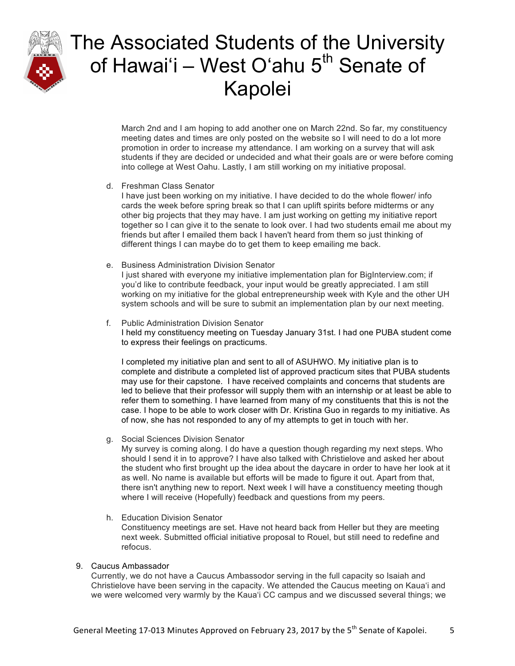

March 2nd and I am hoping to add another one on March 22nd. So far, my constituency meeting dates and times are only posted on the website so I will need to do a lot more promotion in order to increase my attendance. I am working on a survey that will ask students if they are decided or undecided and what their goals are or were before coming into college at West Oahu. Lastly, I am still working on my initiative proposal.

d. Freshman Class Senator

I have just been working on my initiative. I have decided to do the whole flower/ info cards the week before spring break so that I can uplift spirits before midterms or any other big projects that they may have. I am just working on getting my initiative report together so I can give it to the senate to look over. I had two students email me about my friends but after I emailed them back I haven't heard from them so just thinking of different things I can maybe do to get them to keep emailing me back.

- e. Business Administration Division Senator I just shared with everyone my initiative implementation plan for BigInterview.com; if you'd like to contribute feedback, your input would be greatly appreciated. I am still working on my initiative for the global entrepreneurship week with Kyle and the other UH system schools and will be sure to submit an implementation plan by our next meeting.
- f. Public Administration Division Senator I held my constituency meeting on Tuesday January 31st. I had one PUBA student come to express their feelings on practicums.

I completed my initiative plan and sent to all of ASUHWO. My initiative plan is to complete and distribute a completed list of approved practicum sites that PUBA students may use for their capstone. I have received complaints and concerns that students are led to believe that their professor will supply them with an internship or at least be able to refer them to something. I have learned from many of my constituents that this is not the case. I hope to be able to work closer with Dr. Kristina Guo in regards to my initiative. As of now, she has not responded to any of my attempts to get in touch with her.

g. Social Sciences Division Senator

My survey is coming along. I do have a question though regarding my next steps. Who should I send it in to approve? I have also talked with Christielove and asked her about the student who first brought up the idea about the daycare in order to have her look at it as well. No name is available but efforts will be made to figure it out. Apart from that, there isn't anything new to report. Next week I will have a constituency meeting though where I will receive (Hopefully) feedback and questions from my peers.

- h. Education Division Senator Constituency meetings are set. Have not heard back from Heller but they are meeting next week. Submitted official initiative proposal to Rouel, but still need to redefine and refocus.
- 9. Caucus Ambassador

Currently, we do not have a Caucus Ambassodor serving in the full capacity so Isaiah and Christielove have been serving in the capacity. We attended the Caucus meeting on Kauaʻi and we were welcomed very warmly by the Kauaʻi CC campus and we discussed several things; we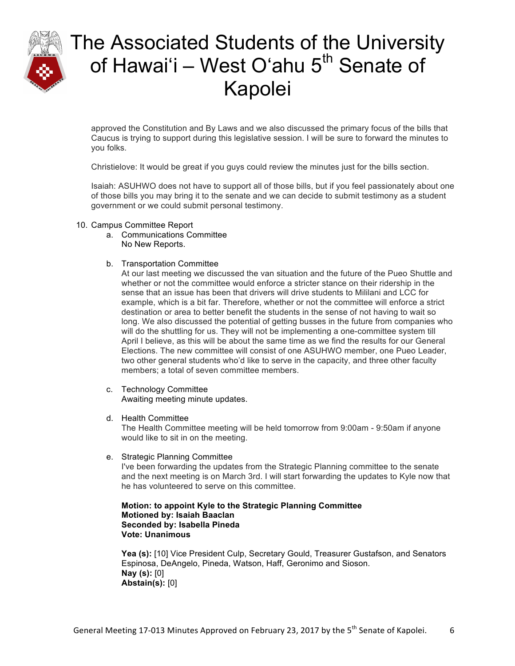

approved the Constitution and By Laws and we also discussed the primary focus of the bills that Caucus is trying to support during this legislative session. I will be sure to forward the minutes to you folks.

Christielove: It would be great if you guys could review the minutes just for the bills section.

Isaiah: ASUHWO does not have to support all of those bills, but if you feel passionately about one of those bills you may bring it to the senate and we can decide to submit testimony as a student government or we could submit personal testimony.

- 10. Campus Committee Report
	- a. Communications Committee No New Reports.
	- b. Transportation Committee

At our last meeting we discussed the van situation and the future of the Pueo Shuttle and whether or not the committee would enforce a stricter stance on their ridership in the sense that an issue has been that drivers will drive students to Mililani and LCC for example, which is a bit far. Therefore, whether or not the committee will enforce a strict destination or area to better benefit the students in the sense of not having to wait so long. We also discussed the potential of getting busses in the future from companies who will do the shuttling for us. They will not be implementing a one-committee system till April I believe, as this will be about the same time as we find the results for our General Elections. The new committee will consist of one ASUHWO member, one Pueo Leader, two other general students who'd like to serve in the capacity, and three other faculty members; a total of seven committee members.

- c. Technology Committee Awaiting meeting minute updates.
- d. Health Committee

The Health Committee meeting will be held tomorrow from 9:00am - 9:50am if anyone would like to sit in on the meeting.

e. Strategic Planning Committee

I've been forwarding the updates from the Strategic Planning committee to the senate and the next meeting is on March 3rd. I will start forwarding the updates to Kyle now that he has volunteered to serve on this committee.

#### **Motion: to appoint Kyle to the Strategic Planning Committee Motioned by: Isaiah Baaclan Seconded by: Isabella Pineda Vote: Unanimous**

Yea (s): [10] Vice President Culp, Secretary Gould, Treasurer Gustafson, and Senators Espinosa, DeAngelo, Pineda, Watson, Haff, Geronimo and Sioson. **Nay (s):** [0] **Abstain(s):** [0]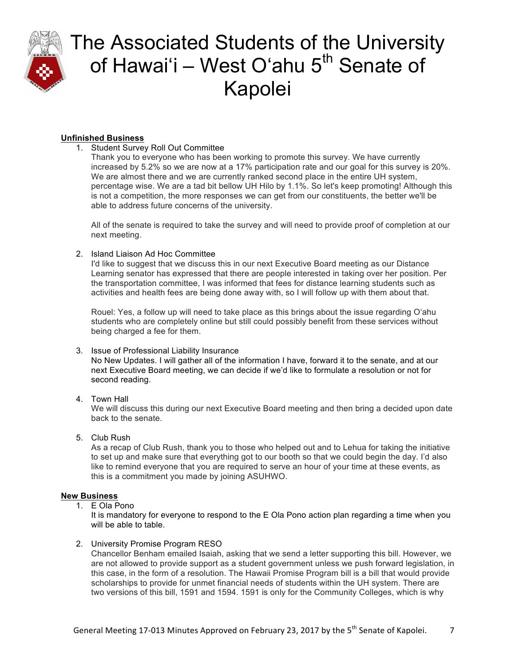

## **Unfinished Business**

1. Student Survey Roll Out Committee

Thank you to everyone who has been working to promote this survey. We have currently increased by 5.2% so we are now at a 17% participation rate and our goal for this survey is 20%. We are almost there and we are currently ranked second place in the entire UH system, percentage wise. We are a tad bit bellow UH Hilo by 1.1%. So let's keep promoting! Although this is not a competition, the more responses we can get from our constituents, the better we'll be able to address future concerns of the university.

All of the senate is required to take the survey and will need to provide proof of completion at our next meeting.

## 2. Island Liaison Ad Hoc Committee

I'd like to suggest that we discuss this in our next Executive Board meeting as our Distance Learning senator has expressed that there are people interested in taking over her position. Per the transportation committee, I was informed that fees for distance learning students such as activities and health fees are being done away with, so I will follow up with them about that.

Rouel: Yes, a follow up will need to take place as this brings about the issue regarding Oʻahu students who are completely online but still could possibly benefit from these services without being charged a fee for them.

## 3. Issue of Professional Liability Insurance

No New Updates. I will gather all of the information I have, forward it to the senate, and at our next Executive Board meeting, we can decide if we'd like to formulate a resolution or not for second reading.

4. Town Hall

We will discuss this during our next Executive Board meeting and then bring a decided upon date back to the senate.

5. Club Rush

As a recap of Club Rush, thank you to those who helped out and to Lehua for taking the initiative to set up and make sure that everything got to our booth so that we could begin the day. I'd also like to remind everyone that you are required to serve an hour of your time at these events, as this is a commitment you made by joining ASUHWO.

## **New Business**

1. E Ola Pono

It is mandatory for everyone to respond to the E Ola Pono action plan regarding a time when you will be able to table.

# 2. University Promise Program RESO

Chancellor Benham emailed Isaiah, asking that we send a letter supporting this bill. However, we are not allowed to provide support as a student government unless we push forward legislation, in this case, in the form of a resolution. The Hawaii Promise Program bill is a bill that would provide scholarships to provide for unmet financial needs of students within the UH system. There are two versions of this bill, 1591 and 1594. 1591 is only for the Community Colleges, which is why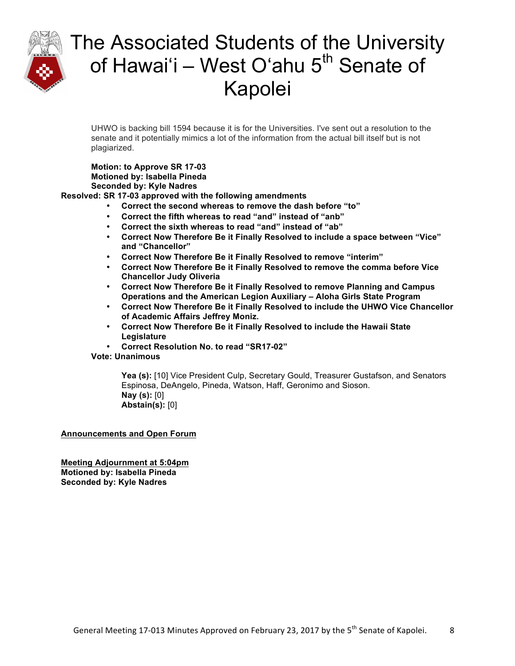

UHWO is backing bill 1594 because it is for the Universities. I've sent out a resolution to the senate and it potentially mimics a lot of the information from the actual bill itself but is not plagiarized.

#### **Motion: to Approve SR 17-03 Motioned by: Isabella Pineda Seconded by: Kyle Nadres**

## **Resolved: SR 17-03 approved with the following amendments**

- **Correct the second whereas to remove the dash before "to"**
- **Correct the fifth whereas to read "and" instead of "anb"**
- **Correct the sixth whereas to read "and" instead of "ab"**
- **Correct Now Therefore Be it Finally Resolved to include a space between "Vice" and "Chancellor"**
- **Correct Now Therefore Be it Finally Resolved to remove "interim"**
- **Correct Now Therefore Be it Finally Resolved to remove the comma before Vice Chancellor Judy Oliveria**
- **Correct Now Therefore Be it Finally Resolved to remove Planning and Campus Operations and the American Legion Auxiliary – Aloha Girls State Program**
- **Correct Now Therefore Be it Finally Resolved to include the UHWO Vice Chancellor of Academic Affairs Jeffrey Moniz.**
- **Correct Now Therefore Be it Finally Resolved to include the Hawaii State Legislature**
- **Correct Resolution No. to read "SR17-02"**

## **Vote: Unanimous**

Yea (s): [10] Vice President Culp, Secretary Gould, Treasurer Gustafson, and Senators Espinosa, DeAngelo, Pineda, Watson, Haff, Geronimo and Sioson. **Nay (s):** [0] **Abstain(s):** [0]

**Announcements and Open Forum**

**Meeting Adjournment at 5:04pm Motioned by: Isabella Pineda Seconded by: Kyle Nadres**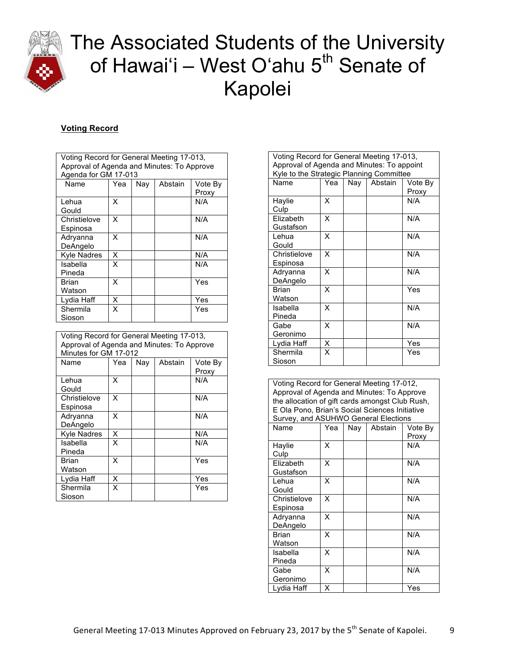

# **Voting Record**

| Approval of Agenda and Minutes: To Approve<br>Agenda for GM 17-013<br>Name<br>Abstain<br>Yea<br>Nav<br>Vote By<br>Proxy<br>x<br>N/A<br>Lehua<br>Gould<br>x<br>Christielove<br>N/A<br>Espinosa | Voting Record for General Meeting 17-013, |  |  |  |  |  |
|-----------------------------------------------------------------------------------------------------------------------------------------------------------------------------------------------|-------------------------------------------|--|--|--|--|--|
|                                                                                                                                                                                               |                                           |  |  |  |  |  |
|                                                                                                                                                                                               |                                           |  |  |  |  |  |
|                                                                                                                                                                                               |                                           |  |  |  |  |  |
|                                                                                                                                                                                               |                                           |  |  |  |  |  |
|                                                                                                                                                                                               |                                           |  |  |  |  |  |
|                                                                                                                                                                                               |                                           |  |  |  |  |  |
|                                                                                                                                                                                               |                                           |  |  |  |  |  |
|                                                                                                                                                                                               |                                           |  |  |  |  |  |
| X<br>Adryanna<br>N/A                                                                                                                                                                          |                                           |  |  |  |  |  |
| DeAngelo                                                                                                                                                                                      |                                           |  |  |  |  |  |
| <b>Kyle Nadres</b><br>X<br>N/A                                                                                                                                                                |                                           |  |  |  |  |  |
| X<br>Isabella<br>N/A                                                                                                                                                                          |                                           |  |  |  |  |  |
| Pineda                                                                                                                                                                                        |                                           |  |  |  |  |  |
| х<br>Brian<br>Yes                                                                                                                                                                             |                                           |  |  |  |  |  |
| Watson                                                                                                                                                                                        |                                           |  |  |  |  |  |
| X<br>Lydia Haff<br>Yes                                                                                                                                                                        |                                           |  |  |  |  |  |
| Shermila<br>x<br>Yes                                                                                                                                                                          |                                           |  |  |  |  |  |
| Sioson                                                                                                                                                                                        |                                           |  |  |  |  |  |

Voting Record for General Meeting 17-013, Approval of Agenda and Minutes: To Approve Minutes for GM 17-012

| Name                     | Yea | Nav | Abstain | Vote By<br>Proxy |
|--------------------------|-----|-----|---------|------------------|
| Lehua<br>Gould           | x   |     |         | N/A              |
| Christielove<br>Espinosa | x   |     |         | N/A              |
| Adryanna<br>DeAngelo     | x   |     |         | N/A              |
| <b>Kyle Nadres</b>       | X   |     |         | N/A              |
| Isabella<br>Pineda       | x   |     |         | N/A              |
| Brian<br>Watson          | x   |     |         | Yes              |
| Lydia Haff               | X   |     |         | Yes              |
| Shermila<br>Sioson       | X   |     |         | Yes              |

| Voting Record for General Meeting 17-013,  |     |  |             |         |  |
|--------------------------------------------|-----|--|-------------|---------|--|
| Approval of Agenda and Minutes: To appoint |     |  |             |         |  |
| Kyle to the Strategic Planning Committee   |     |  |             |         |  |
| Name                                       | Yea |  | Nay Abstain | Vote By |  |
|                                            |     |  |             | Proxy   |  |
|                                            | X   |  |             | N/A     |  |
| Haylie                                     |     |  |             |         |  |
| Culp                                       |     |  |             |         |  |
| Elizabeth                                  | X   |  |             | N/A     |  |
| Gustafson                                  |     |  |             |         |  |
| Lehua                                      | X   |  |             | N/A     |  |
| Gould                                      |     |  |             |         |  |
| Christielove                               | x   |  |             | N/A     |  |
| Espinosa                                   |     |  |             |         |  |
| Adryanna                                   | x   |  |             | N/A     |  |
| DeAngelo                                   |     |  |             |         |  |
| Brian                                      | x   |  |             | Yes     |  |
| Watson                                     |     |  |             |         |  |
| Isabella                                   | x   |  |             | N/A     |  |
| Pineda                                     |     |  |             |         |  |
| Gabe                                       | x   |  |             | N/A     |  |
| Geronimo                                   |     |  |             |         |  |
| Lydia Haff                                 | X   |  |             | Yes     |  |
| Shermila                                   | x   |  |             | Yes     |  |
| Sioson                                     |     |  |             |         |  |

Voting Record for General Meeting 17-012, Approval of Agenda and Minutes: To Approve the allocation of gift cards amongst Club Rush, E Ola Pono, Brian's Social Sciences Initiative Survey, and ASUHWO General Elections<br>Name | Yea | Nay | Abstain | V Yea | Nay | Abstain | Vote By Proxy **Haylie** Culp  $X \qquad \qquad N/A$ **Elizabeth** Gustafson  $X \parallel$  N/A Lehua Gould  $X \parallel$  N/A **Christielove** Espinosa  $X \parallel W/A$ Adryanna DeAngelo  $X \parallel$   $\parallel$  N/A **Brian** Watson  $X \parallel$   $\parallel$  N/A Isabella Pineda  $X \parallel$   $\parallel$  N/A Gabe Geronimo  $X \parallel$   $N/A$ Lydia Haff  $\vert X \vert$   $\vert$   $\vert$   $\vert$  Yes